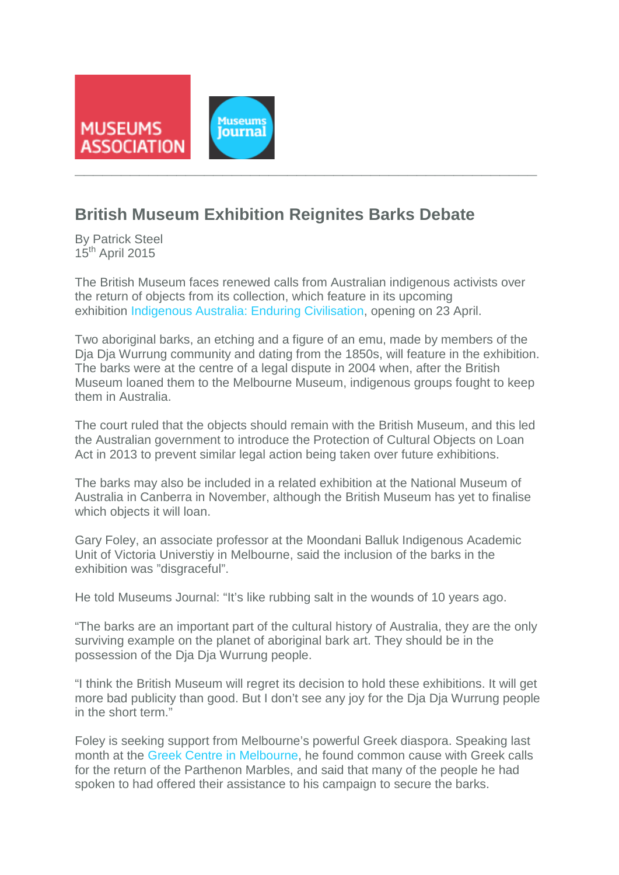

## **British Museum Exhibition Reignites Barks Debate**

By Patrick Steel  $15<sup>th</sup>$  April 2015

The British Museum faces renewed calls from Australian indigenous activists over the return of objects from its collection, which feature in its upcoming exhibition [Indigenous Australia: Enduring Civilisation,](http://www.britishmuseum.org/about_us/news_and_press/press_releases/2015/indigenous_australia.aspx) opening on 23 April.

Two aboriginal barks, an etching and a figure of an emu, made by members of the Dja Dja Wurrung community and dating from the 1850s, will feature in the exhibition. The barks were at the centre of a legal dispute in 2004 when, after the British Museum loaned them to the Melbourne Museum, indigenous groups fought to keep them in Australia.

The court ruled that the objects should remain with the British Museum, and this led the Australian government to introduce the Protection of Cultural Objects on Loan Act in 2013 to prevent similar legal action being taken over future exhibitions.

The barks may also be included in a related exhibition at the National Museum of Australia in Canberra in November, although the British Museum has yet to finalise which objects it will loan.

Gary Foley, an associate professor at the Moondani Balluk Indigenous Academic Unit of Victoria Universtiy in Melbourne, said the inclusion of the barks in the exhibition was "disgraceful".

He told Museums Journal: "It's like rubbing salt in the wounds of 10 years ago.

"The barks are an important part of the cultural history of Australia, they are the only surviving example on the planet of aboriginal bark art. They should be in the possession of the Dja Dja Wurrung people.

"I think the British Museum will regret its decision to hold these exhibitions. It will get more bad publicity than good. But I don't see any joy for the Dja Dja Wurrung people in the short term."

Foley is seeking support from Melbourne's powerful Greek diaspora. Speaking last month at the [Greek Centre in Melbourne,](http://neoskosmos.com/news/en/Barks-and-Marbles-one-cause) he found common cause with Greek calls for the return of the Parthenon Marbles, and said that many of the people he had spoken to had offered their assistance to his campaign to secure the barks.